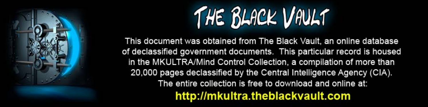

This document was obtained from The Black Vault, an online database of declassified government documents. This particular record is housed in the MKULTRA/Mind Control Collection, a compilation of more than 20,000 pages declassified by the Central Intelligence Agency (CIA). The entire collection is free to download and online at: http://mkultra.theblackvault.com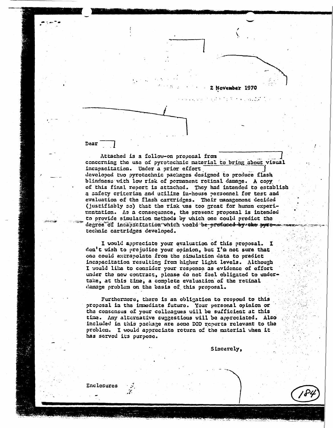2 November 1970

 $\mathcal{L}_{\text{max}}$  . The  $\mathcal{L}_{\text{max}}$ 

Dear

Attached is a follow-on proposal from concerning the use of pyrotechnic material to bring about visual incapacitation. Under a prior effort developed two pyrotechnic packages designed to produce flash blindness with low risk of permanent retinal damage. A copy of this final report is attached. They had intended to establish a safety criterian and utilize in-house personnel for test and evaluation of the flash cartridges. Their management decided (justifiably so) that the risk was too great for human experimentation. As a consequence, the present proposal is intended to provide simulation methods by which one could predict the degree of incapacitation which would be prosuced by the pyroma technic cartridges developed.

I would appreciate your evaluation of this proposal. I don't wish to prejudice your opinion, but I'm not sure that one could extrapolate from the simulation data to predict incapacitation resulting from higher light levels. Although I would like to consider your response as evidence of effort under the new contract, please do not feel obligated to undertake, at this time, a complete evaluation of the retinal damage problem on the basis of this proposal.

Furthermore, there is an obligation to respond to this proposal in the immediate future. Your personal opinion or the consensus of your colleagues will be sufficient at this time. Any alternative suggestions will be appreciated. Also included in this package are some DOD reports relevant to the problem. I would appreciate return of the material when it has served its purpose.

Sincerely,

Enclosures